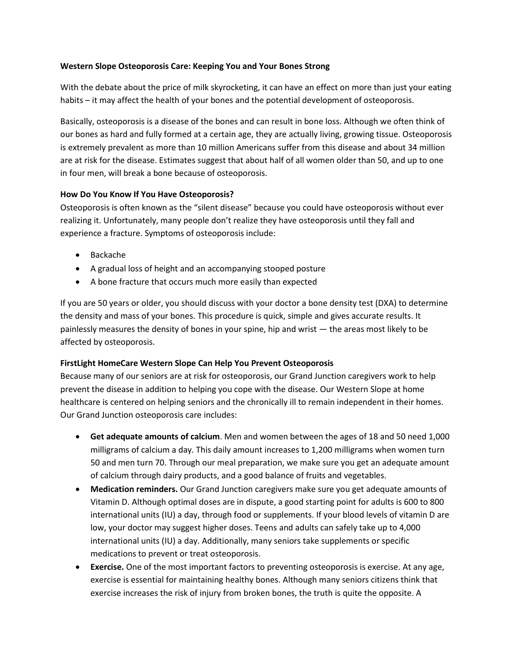## **Western Slope Osteoporosis Care: Keeping You and Your Bones Strong**

With the debate about the price of milk skyrocketing, it can have an effect on more than just your eating habits – it may affect the health of your bones and the potential development of osteoporosis.

Basically, osteoporosis is a disease of the bones and can result in bone loss. Although we often think of our bones as hard and fully formed at a certain age, they are actually living, growing tissue. Osteoporosis is extremely prevalent as more than 10 million Americans suffer from this disease and about 34 million are at risk for the disease. Estimates suggest that about half of all women older than 50, and up to one in four men, will break a bone because of osteoporosis.

## **How Do You Know If You Have Osteoporosis?**

Osteoporosis is often known as the "silent disease" because you could have osteoporosis without ever realizing it. Unfortunately, many people don't realize they have osteoporosis until they fall and experience a fracture. Symptoms of osteoporosis include:

- Backache
- A gradual loss of height and an accompanying stooped posture
- A bone fracture that occurs much more easily than expected

If you are 50 years or older, you should discuss with your doctor a bone density test (DXA) to determine the density and mass of your bones. This procedure is quick, simple and gives accurate results. It painlessly measures the density of bones in your spine, hip and wrist — the areas most likely to be affected by osteoporosis.

## **FirstLight HomeCare Western Slope Can Help You Prevent Osteoporosis**

Because many of our seniors are at risk for osteoporosis, our Grand Junction caregivers work to help prevent the disease in addition to helping you cope with the disease. Our Western Slope at home healthcare is centered on helping seniors and the chronically ill to remain independent in their homes. Our Grand Junction osteoporosis care includes:

- **Get adequate amounts of calcium**. Men and women between the ages of 18 and 50 need 1,000 milligrams of calcium a day. This daily amount increases to 1,200 milligrams when women turn 50 and men turn 70. Through our meal preparation, we make sure you get an adequate amount of calcium through dairy products, and a good balance of fruits and vegetables.
- **Medication reminders.** Our Grand Junction caregivers make sure you get adequate amounts of Vitamin D. Although optimal doses are in dispute, a good starting point for adults is 600 to 800 international units (IU) a day, through food or supplements. If your blood levels of vitamin D are low, your doctor may suggest higher doses. Teens and adults can safely take up to 4,000 international units (IU) a day. Additionally, many seniors take supplements or specific medications to prevent or treat osteoporosis.
- **Exercise.** One of the most important factors to preventing osteoporosis is exercise. At any age, exercise is essential for maintaining healthy bones. Although many seniors citizens think that exercise increases the risk of injury from broken bones, the truth is quite the opposite. A